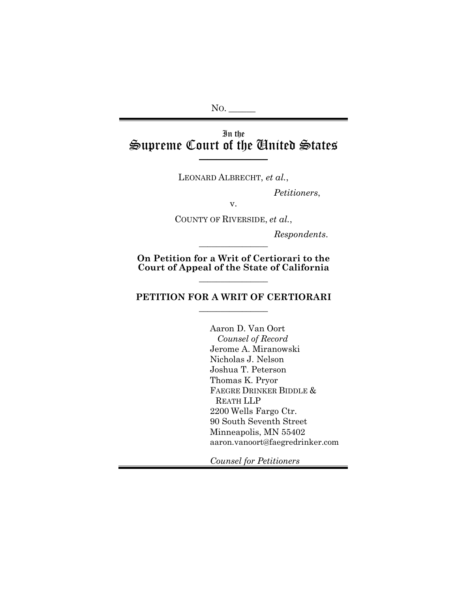## In the Supreme Court of the United States **\_\_\_\_\_\_\_\_\_\_\_\_\_\_\_\_**

LEONARD ALBRECHT, *et al.*,

*Petitioners*,

v.

COUNTY OF RIVERSIDE, *et al.*,

 $Response$ *Respondents.* 

**On Petition for a Writ of Certiorari to the Court of Appeal of the State of California**

 $\overline{\phantom{a}}$  , where  $\overline{\phantom{a}}$ 

### **PETITION FOR A WRIT OF CERTIORARI**  $\overline{\phantom{a}}$  , where  $\overline{\phantom{a}}$

Aaron D. Van Oort *Counsel of Record* Jerome A. Miranowski Nicholas J. Nelson Joshua T. Peterson Thomas K. Pryor FAEGRE DRINKER BIDDLE & REATH LLP 2200 Wells Fargo Ctr. 90 South Seventh Street Minneapolis, MN 55402 aaron.vanoort@faegredrinker.com

*Counsel for Petitioners*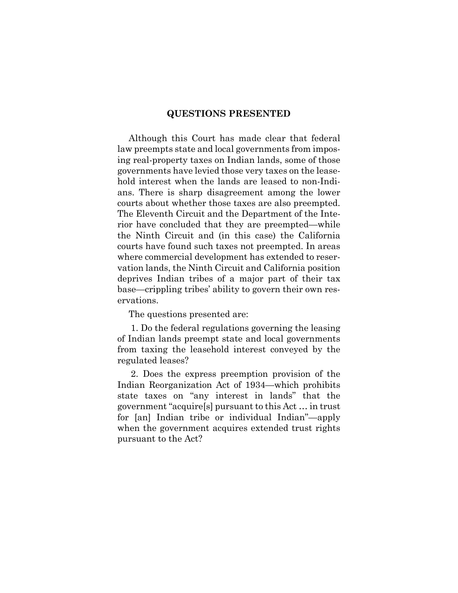#### **QUESTIONS PRESENTED**

Although this Court has made clear that federal law preempts state and local governments from imposing real-property taxes on Indian lands, some of those governments have levied those very taxes on the leasehold interest when the lands are leased to non-Indians. There is sharp disagreement among the lower courts about whether those taxes are also preempted. The Eleventh Circuit and the Department of the Interior have concluded that they are preempted—while the Ninth Circuit and (in this case) the California courts have found such taxes not preempted. In areas where commercial development has extended to reservation lands, the Ninth Circuit and California position deprives Indian tribes of a major part of their tax base—crippling tribes' ability to govern their own reservations.

The questions presented are:

1. Do the federal regulations governing the leasing of Indian lands preempt state and local governments from taxing the leasehold interest conveyed by the regulated leases?

2. Does the express preemption provision of the Indian Reorganization Act of 1934—which prohibits state taxes on "any interest in lands" that the government "acquire[s] pursuant to this Act … in trust for [an] Indian tribe or individual Indian"—apply when the government acquires extended trust rights pursuant to the Act?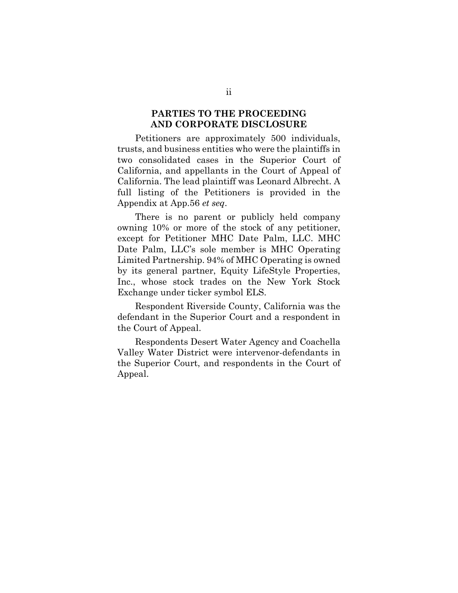### **PARTIES TO THE PROCEEDING AND CORPORATE DISCLOSURE**

Petitioners are approximately 500 individuals, trusts, and business entities who were the plaintiffs in two consolidated cases in the Superior Court of California, and appellants in the Court of Appeal of California. The lead plaintiff was Leonard Albrecht. A full listing of the Petitioners is provided in the Appendix at App.56 *et seq*.

There is no parent or publicly held company owning 10% or more of the stock of any petitioner, except for Petitioner MHC Date Palm, LLC. MHC Date Palm, LLC's sole member is MHC Operating Limited Partnership. 94% of MHC Operating is owned by its general partner, Equity LifeStyle Properties, Inc., whose stock trades on the New York Stock Exchange under ticker symbol ELS.

Respondent Riverside County, California was the defendant in the Superior Court and a respondent in the Court of Appeal.

Respondents Desert Water Agency and Coachella Valley Water District were intervenor-defendants in the Superior Court, and respondents in the Court of Appeal.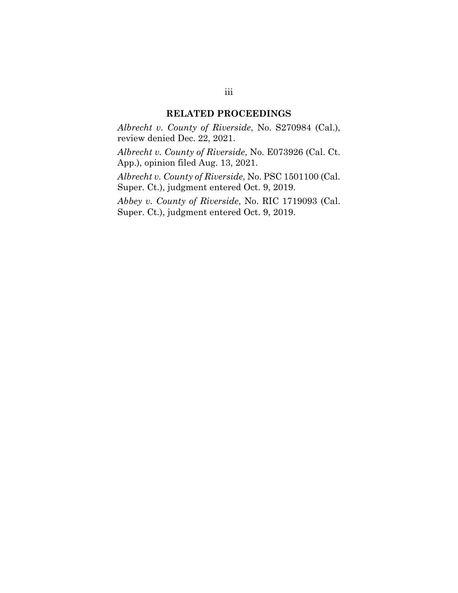#### **RELATED PROCEEDINGS**

*Albrecht v. County of Riverside*, No. S270984 (Cal.), review denied Dec. 22, 2021.

*Albrecht v. County of Riverside*, No. E073926 (Cal. Ct. App.), opinion filed Aug. 13, 2021.

*Albrecht v. County of Riverside*, No. PSC 1501100 (Cal. Super. Ct.), judgment entered Oct. 9, 2019.

*Abbey v. County of Riverside*, No. RIC 1719093 (Cal. Super. Ct.), judgment entered Oct. 9, 2019.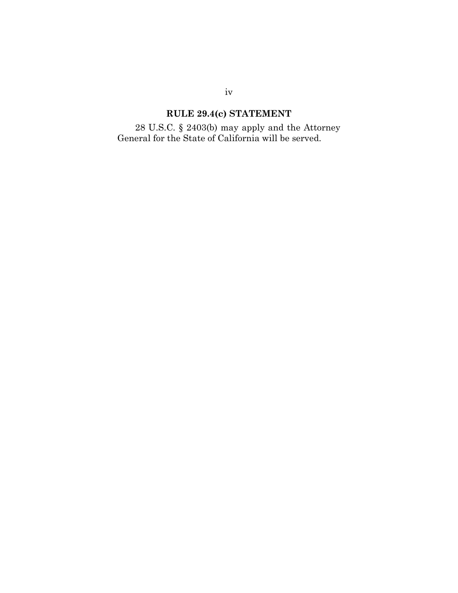# **RULE 29.4(c) STATEMENT**

28 U.S.C. § 2403(b) may apply and the Attorney General for the State of California will be served.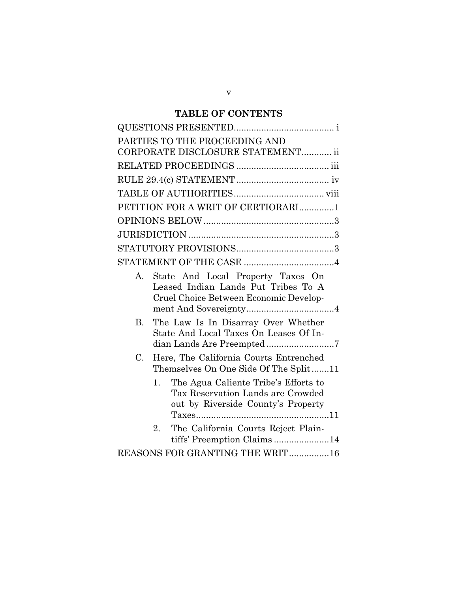## **TABLE OF CONTENTS**

|             | PARTIES TO THE PROCEEDING AND<br>CORPORATE DISCLOSURE STATEMENT ii                                                    |
|-------------|-----------------------------------------------------------------------------------------------------------------------|
|             |                                                                                                                       |
|             |                                                                                                                       |
|             |                                                                                                                       |
|             | PETITION FOR A WRIT OF CERTIORARI1                                                                                    |
|             |                                                                                                                       |
|             |                                                                                                                       |
|             |                                                                                                                       |
|             |                                                                                                                       |
| А.          | State And Local Property Taxes On<br>Leased Indian Lands Put Tribes To A<br>Cruel Choice Between Economic Develop-    |
| B.          | The Law Is In Disarray Over Whether<br>State And Local Taxes On Leases Of In-                                         |
| $C_{\cdot}$ | Here, The California Courts Entrenched<br>Themselves On One Side Of The Split11                                       |
|             | The Agua Caliente Tribe's Efforts to<br>1.<br>Tax Reservation Lands are Crowded<br>out by Riverside County's Property |
|             | The California Courts Reject Plain-<br>2.<br>tiffs' Preemption Claims14                                               |
|             | REASONS FOR GRANTING THE WRIT16                                                                                       |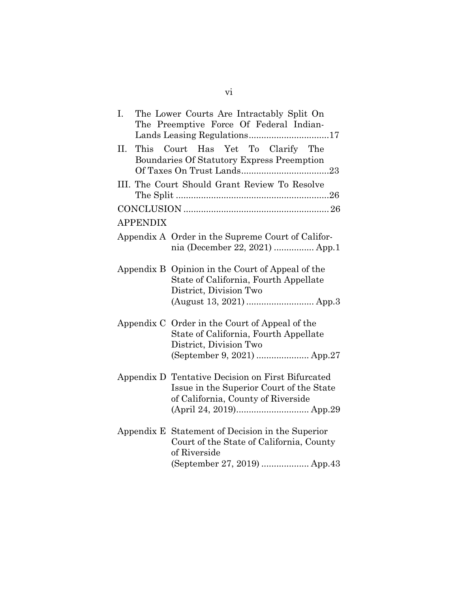| The Lower Courts Are Intractably Split On<br>I.<br>The Preemptive Force Of Federal Indian-                                                       |  |
|--------------------------------------------------------------------------------------------------------------------------------------------------|--|
| Court Has Yet To Clarify The<br>II.<br>This<br>Boundaries Of Statutory Express Preemption                                                        |  |
| III. The Court Should Grant Review To Resolve                                                                                                    |  |
|                                                                                                                                                  |  |
| <b>APPENDIX</b>                                                                                                                                  |  |
| Appendix A Order in the Supreme Court of Califor-<br>nia (December 22, 2021)  App.1                                                              |  |
| Opinion in the Court of Appeal of the<br>Appendix B<br>State of California, Fourth Appellate<br>District, Division Two                           |  |
|                                                                                                                                                  |  |
| Appendix C Order in the Court of Appeal of the<br>State of California, Fourth Appellate<br>District, Division Two<br>(September 9, 2021)  App.27 |  |
| Appendix D Tentative Decision on First Bifurcated<br>Issue in the Superior Court of the State<br>of California, County of Riverside              |  |
| Appendix E Statement of Decision in the Superior<br>Court of the State of California, County<br>of Riverside<br>(September 27, 2019)  App.43     |  |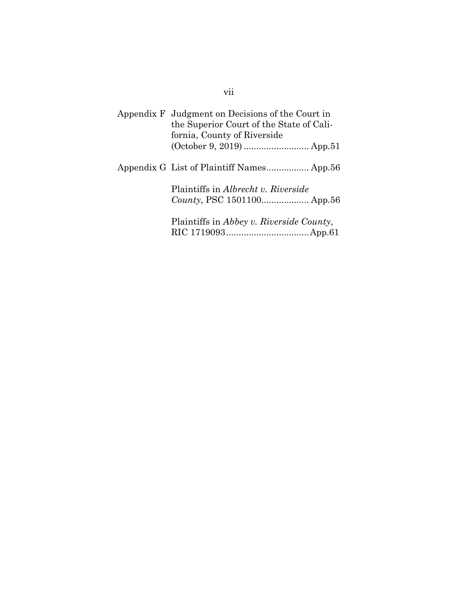| Appendix F Judgment on Decisions of the Court in<br>the Superior Court of the State of Cali-<br>fornia, County of Riverside |
|-----------------------------------------------------------------------------------------------------------------------------|
|                                                                                                                             |
|                                                                                                                             |
|                                                                                                                             |
| Plaintiffs in Albrecht v. Riverside                                                                                         |
|                                                                                                                             |
|                                                                                                                             |
| Plaintiffs in Abbey v. Riverside County,                                                                                    |
|                                                                                                                             |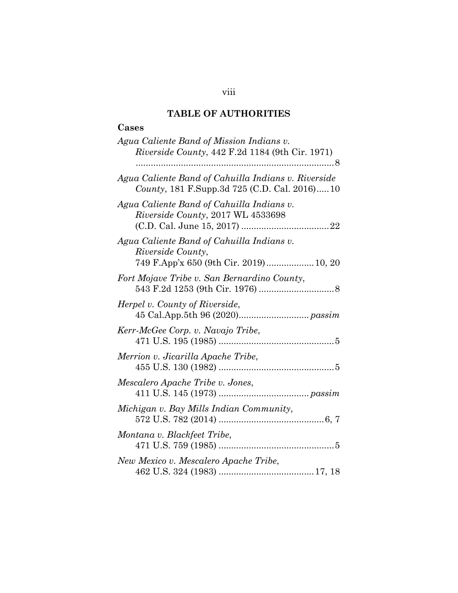## **TABLE OF AUTHORITIES**

# **Cases**

| Agua Caliente Band of Mission Indians v.<br>Riverside County, 442 F.2d 1184 (9th Cir. 1971)                     |
|-----------------------------------------------------------------------------------------------------------------|
| Agua Caliente Band of Cahuilla Indians v. Riverside<br>County, 181 F.Supp.3d 725 (C.D. Cal. 2016)10             |
| Agua Caliente Band of Cahuilla Indians v.<br>Riverside County, 2017 WL 4533698                                  |
| Agua Caliente Band of Cahuilla Indians v.<br><i>Riverside County,</i><br>749 F.App'x 650 (9th Cir. 2019) 10, 20 |
| Fort Mojave Tribe v. San Bernardino County,                                                                     |
| Herpel v. County of Riverside,                                                                                  |
| Kerr-McGee Corp. v. Navajo Tribe,                                                                               |
| Merrion v. Jicarilla Apache Tribe,                                                                              |
| Mescalero Apache Tribe v. Jones,                                                                                |
| Michigan v. Bay Mills Indian Community,                                                                         |
| Montana v. Blackfeet Tribe,                                                                                     |
| New Mexico v. Mescalero Apache Tribe,                                                                           |

viii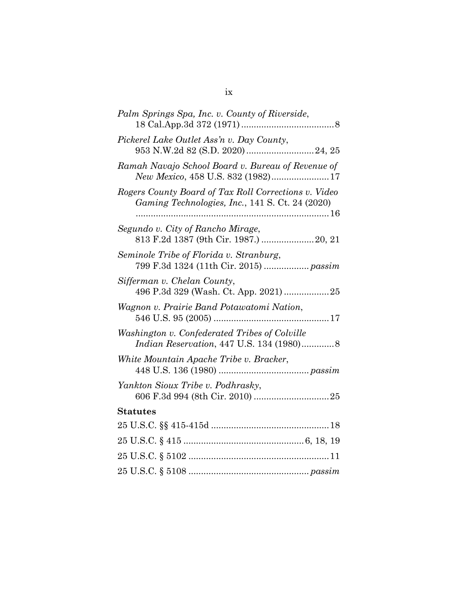| Palm Springs Spa, Inc. v. County of Riverside,                                                          |
|---------------------------------------------------------------------------------------------------------|
| Pickerel Lake Outlet Ass'n v. Day County,<br>953 N.W.2d 82 (S.D. 2020)  24, 25                          |
| Ramah Navajo School Board v. Bureau of Revenue of                                                       |
| Rogers County Board of Tax Roll Corrections v. Video<br>Gaming Technologies, Inc., 141 S. Ct. 24 (2020) |
| Segundo v. City of Rancho Mirage,<br>813 F.2d 1387 (9th Cir. 1987.)  20, 21                             |
| Seminole Tribe of Florida v. Stranburg,<br>799 F.3d 1324 (11th Cir. 2015)  passim                       |
| Sifferman v. Chelan County,                                                                             |
| Wagnon v. Prairie Band Potawatomi Nation,                                                               |
| Washington v. Confederated Tribes of Colville<br>Indian Reservation, 447 U.S. 134 (1980)8               |
| White Mountain Apache Tribe v. Bracker,                                                                 |
| Yankton Sioux Tribe v. Podhrasky,                                                                       |
| <b>Statutes</b>                                                                                         |
|                                                                                                         |
|                                                                                                         |
|                                                                                                         |
|                                                                                                         |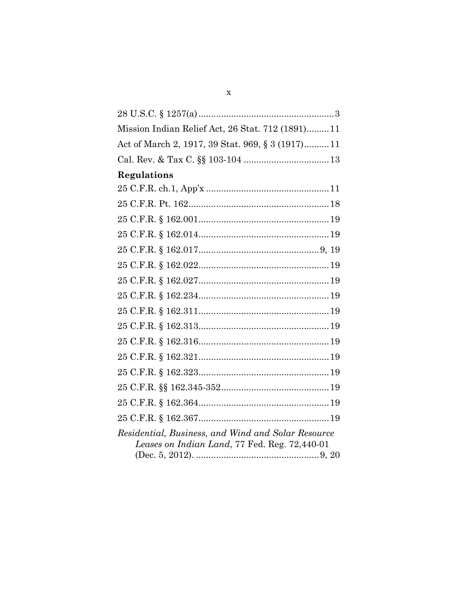| Mission Indian Relief Act, 26 Stat. 712 (1891) 11                                                   |
|-----------------------------------------------------------------------------------------------------|
| Act of March 2, 1917, 39 Stat. 969, § 3 (1917)11                                                    |
|                                                                                                     |
| Regulations                                                                                         |
|                                                                                                     |
|                                                                                                     |
|                                                                                                     |
|                                                                                                     |
|                                                                                                     |
|                                                                                                     |
|                                                                                                     |
|                                                                                                     |
|                                                                                                     |
|                                                                                                     |
|                                                                                                     |
|                                                                                                     |
|                                                                                                     |
|                                                                                                     |
|                                                                                                     |
|                                                                                                     |
| Residential, Business, and Wind and Solar Resource<br>Leases on Indian Land, 77 Fed. Reg. 72,440-01 |
|                                                                                                     |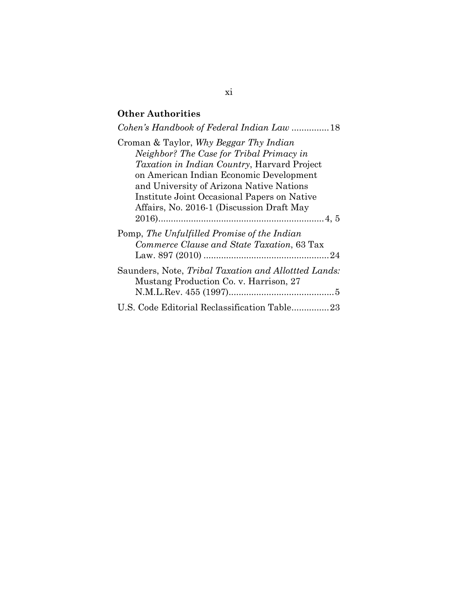## **Other Authorities**

| Cohen's Handbook of Federal Indian Law  18                                                                                                                                                                                                                                                                                   |
|------------------------------------------------------------------------------------------------------------------------------------------------------------------------------------------------------------------------------------------------------------------------------------------------------------------------------|
| Croman & Taylor, Why Beggar Thy Indian<br>Neighbor? The Case for Tribal Primacy in<br><i>Taxation in Indian Country</i> , Harvard Project<br>on American Indian Economic Development<br>and University of Arizona Native Nations<br>Institute Joint Occasional Papers on Native<br>Affairs, No. 2016-1 (Discussion Draft May |
| Pomp, The Unfulfilled Promise of the Indian<br>Commerce Clause and State Taxation, 63 Tax                                                                                                                                                                                                                                    |
| Saunders, Note, Tribal Taxation and Allottted Lands:<br>Mustang Production Co. v. Harrison, 27                                                                                                                                                                                                                               |
| U.S. Code Editorial Reclassification Table23                                                                                                                                                                                                                                                                                 |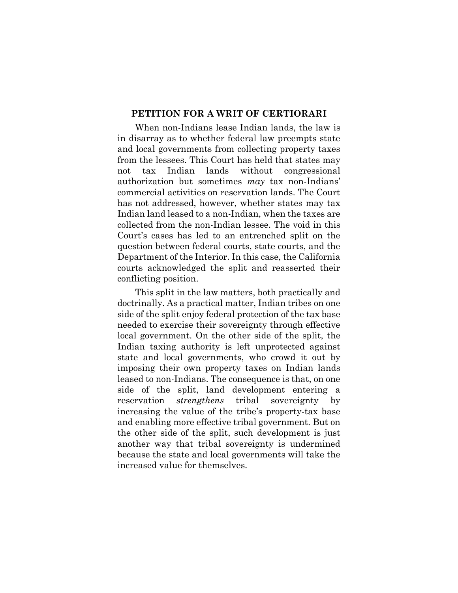#### **PETITION FOR A WRIT OF CERTIORARI**

When non-Indians lease Indian lands, the law is in disarray as to whether federal law preempts state and local governments from collecting property taxes from the lessees. This Court has held that states may not tax Indian lands without congressional authorization but sometimes *may* tax non-Indians' commercial activities on reservation lands. The Court has not addressed, however, whether states may tax Indian land leased to a non-Indian, when the taxes are collected from the non-Indian lessee. The void in this Court's cases has led to an entrenched split on the question between federal courts, state courts, and the Department of the Interior. In this case, the California courts acknowledged the split and reasserted their conflicting position.

This split in the law matters, both practically and doctrinally. As a practical matter, Indian tribes on one side of the split enjoy federal protection of the tax base needed to exercise their sovereignty through effective local government. On the other side of the split, the Indian taxing authority is left unprotected against state and local governments, who crowd it out by imposing their own property taxes on Indian lands leased to non-Indians. The consequence is that, on one side of the split, land development entering a reservation *strengthens* tribal sovereignty by increasing the value of the tribe's property-tax base and enabling more effective tribal government. But on the other side of the split, such development is just another way that tribal sovereignty is undermined because the state and local governments will take the increased value for themselves.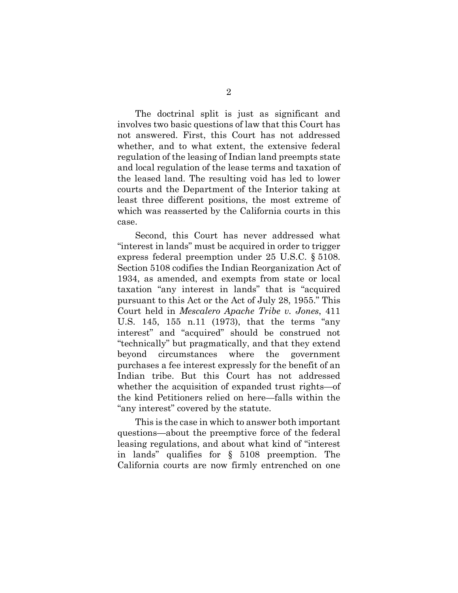The doctrinal split is just as significant and involves two basic questions of law that this Court has not answered. First, this Court has not addressed whether, and to what extent, the extensive federal regulation of the leasing of Indian land preempts state and local regulation of the lease terms and taxation of the leased land. The resulting void has led to lower courts and the Department of the Interior taking at least three different positions, the most extreme of which was reasserted by the California courts in this case.

Second, this Court has never addressed what "interest in lands" must be acquired in order to trigger express federal preemption under 25 U.S.C. § 5108. Section 5108 codifies the Indian Reorganization Act of 1934, as amended, and exempts from state or local taxation "any interest in lands" that is "acquired pursuant to this Act or the Act of July 28, 1955." This Court held in *Mescalero Apache Tribe v. Jones*, 411 U.S. 145, 155 n.11 (1973), that the terms "any interest" and "acquired" should be construed not "technically" but pragmatically, and that they extend beyond circumstances where the government purchases a fee interest expressly for the benefit of an Indian tribe. But this Court has not addressed whether the acquisition of expanded trust rights—of the kind Petitioners relied on here—falls within the "any interest" covered by the statute.

This is the case in which to answer both important questions—about the preemptive force of the federal leasing regulations, and about what kind of "interest in lands" qualifies for § 5108 preemption. The California courts are now firmly entrenched on one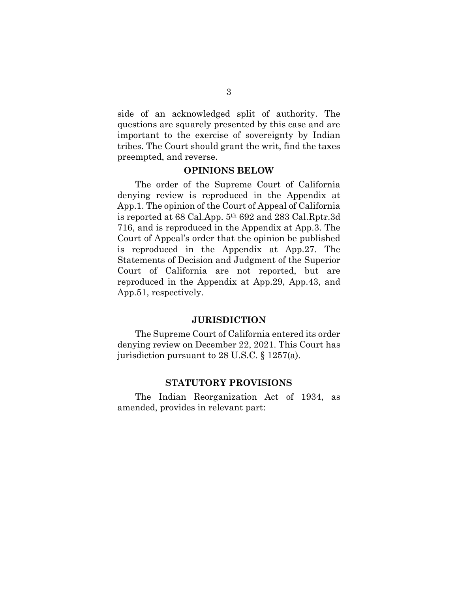side of an acknowledged split of authority. The questions are squarely presented by this case and are important to the exercise of sovereignty by Indian tribes. The Court should grant the writ, find the taxes preempted, and reverse.

#### **OPINIONS BELOW**

The order of the Supreme Court of California denying review is reproduced in the Appendix at App.1. The opinion of the Court of Appeal of California is reported at 68 Cal.App. 5th 692 and 283 Cal.Rptr.3d 716, and is reproduced in the Appendix at App.3. The Court of Appeal's order that the opinion be published is reproduced in the Appendix at App.27. The Statements of Decision and Judgment of the Superior Court of California are not reported, but are reproduced in the Appendix at App.29, App.43, and App.51, respectively.

#### **JURISDICTION**

The Supreme Court of California entered its order denying review on December 22, 2021. This Court has jurisdiction pursuant to 28 U.S.C. § 1257(a).

#### **STATUTORY PROVISIONS**

The Indian Reorganization Act of 1934, as amended, provides in relevant part: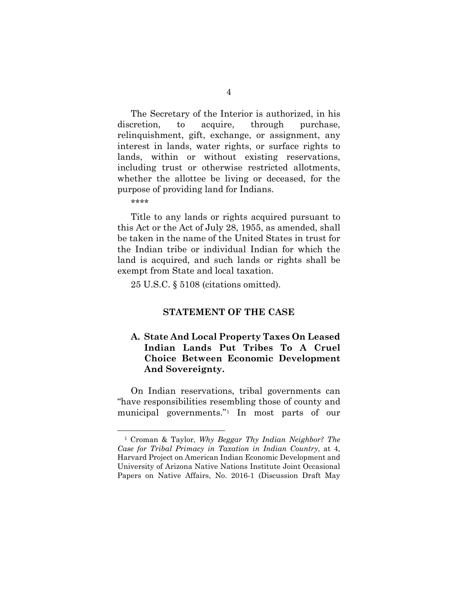The Secretary of the Interior is authorized, in his discretion, to acquire, through purchase, relinquishment, gift, exchange, or assignment, any interest in lands, water rights, or surface rights to lands, within or without existing reservations, including trust or otherwise restricted allotments, whether the allottee be living or deceased, for the purpose of providing land for Indians.

\*\*\*\*

Title to any lands or rights acquired pursuant to this Act or the Act of July 28, 1955, as amended, shall be taken in the name of the United States in trust for the Indian tribe or individual Indian for which the land is acquired, and such lands or rights shall be exempt from State and local taxation.

25 U.S.C. § 5108 (citations omitted).

#### **STATEMENT OF THE CASE**

## **A. State And Local Property Taxes On Leased Indian Lands Put Tribes To A Cruel Choice Between Economic Development And Sovereignty.**

On Indian reservations, tribal governments can "have responsibilities resembling those of county and municipal governments."[1](#page-15-0) In most parts of our

<span id="page-15-0"></span><sup>1</sup> Croman & Taylor, *Why Beggar Thy Indian Neighbor? The Case for Tribal Primacy in Taxation in Indian Country*, at 4, Harvard Project on American Indian Economic Development and University of Arizona Native Nations Institute Joint Occasional Papers on Native Affairs, No. 2016-1 (Discussion Draft May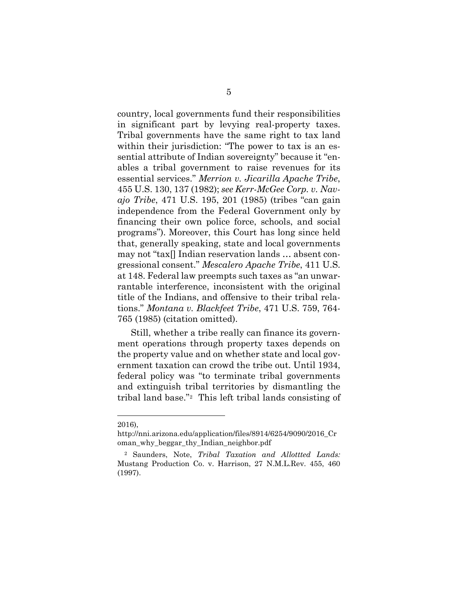country, local governments fund their responsibilities in significant part by levying real-property taxes. Tribal governments have the same right to tax land within their jurisdiction: "The power to tax is an essential attribute of Indian sovereignty" because it "enables a tribal government to raise revenues for its essential services." *Merrion v. Jicarilla Apache Tribe*, 455 U.S. 130, 137 (1982); *see Kerr-McGee Corp. v. Navajo Tribe*, 471 U.S. 195, 201 (1985) (tribes "can gain independence from the Federal Government only by financing their own police force, schools, and social programs"). Moreover, this Court has long since held that, generally speaking, state and local governments may not "tax[] Indian reservation lands … absent congressional consent." *Mescalero Apache Tribe*, 411 U.S. at 148. Federal law preempts such taxes as "an unwarrantable interference, inconsistent with the original title of the Indians, and offensive to their tribal relations." *Montana v. Blackfeet Tribe*, 471 U.S. 759, 764- 765 (1985) (citation omitted).

Still, whether a tribe really can finance its government operations through property taxes depends on the property value and on whether state and local government taxation can crowd the tribe out. Until 1934, federal policy was "to terminate tribal governments and extinguish tribal territories by dismantling the tribal land base."[2](#page-16-0) This left tribal lands consisting of

<sup>2016),</sup> 

[http://nni.arizona.edu/application/files/8914/6254/9090/2016\\_Cr](http://nni.arizona.edu/application/files/8914/6254/9090/2016_Croman_why_beggar_thy_Indian_neighbor.pdf) [oman\\_why\\_beggar\\_thy\\_Indian\\_neighbor.pdf](http://nni.arizona.edu/application/files/8914/6254/9090/2016_Croman_why_beggar_thy_Indian_neighbor.pdf)

<span id="page-16-0"></span><sup>2</sup> Saunders, Note, *Tribal Taxation and Allottted Lands:*  Mustang Production Co. v. Harrison, 27 N.M.L.Rev. 455, 460 (1997).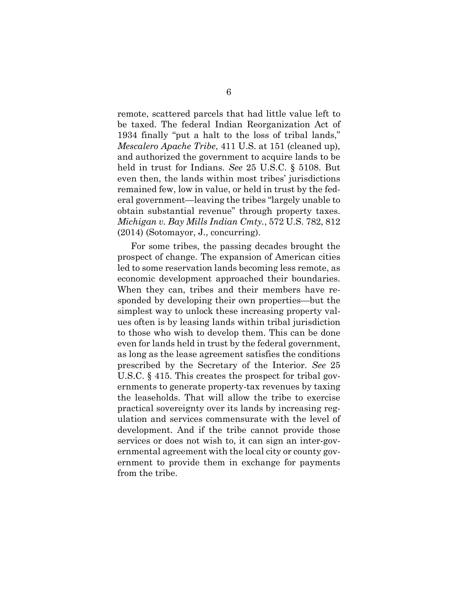remote, scattered parcels that had little value left to be taxed. The federal Indian Reorganization Act of 1934 finally "put a halt to the loss of tribal lands," *Mescalero Apache Tribe*, 411 U.S. at 151 (cleaned up), and authorized the government to acquire lands to be held in trust for Indians. *See* 25 U.S.C. § 5108. But even then, the lands within most tribes' jurisdictions remained few, low in value, or held in trust by the federal government—leaving the tribes "largely unable to obtain substantial revenue" through property taxes. *Michigan v. Bay Mills Indian Cmty.*, 572 U.S. 782, 812 (2014) (Sotomayor, J., concurring).

For some tribes, the passing decades brought the prospect of change. The expansion of American cities led to some reservation lands becoming less remote, as economic development approached their boundaries. When they can, tribes and their members have responded by developing their own properties—but the simplest way to unlock these increasing property values often is by leasing lands within tribal jurisdiction to those who wish to develop them. This can be done even for lands held in trust by the federal government, as long as the lease agreement satisfies the conditions prescribed by the Secretary of the Interior. *See* 25 U.S.C. § 415. This creates the prospect for tribal governments to generate property-tax revenues by taxing the leaseholds. That will allow the tribe to exercise practical sovereignty over its lands by increasing regulation and services commensurate with the level of development. And if the tribe cannot provide those services or does not wish to, it can sign an inter-governmental agreement with the local city or county government to provide them in exchange for payments from the tribe.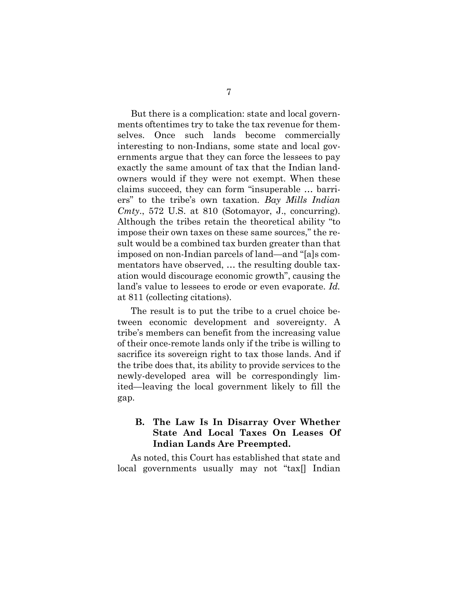But there is a complication: state and local governments oftentimes try to take the tax revenue for themselves. Once such lands become commercially interesting to non-Indians, some state and local governments argue that they can force the lessees to pay exactly the same amount of tax that the Indian landowners would if they were not exempt. When these claims succeed, they can form "insuperable … barriers" to the tribe's own taxation. *Bay Mills Indian Cmty*., 572 U.S. at 810 (Sotomayor, J., concurring). Although the tribes retain the theoretical ability "to impose their own taxes on these same sources," the result would be a combined tax burden greater than that imposed on non-Indian parcels of land—and "[a]s commentators have observed, … the resulting double taxation would discourage economic growth", causing the land's value to lessees to erode or even evaporate. *Id.* at 811 (collecting citations).

The result is to put the tribe to a cruel choice between economic development and sovereignty. A tribe's members can benefit from the increasing value of their once-remote lands only if the tribe is willing to sacrifice its sovereign right to tax those lands. And if the tribe does that, its ability to provide services to the newly-developed area will be correspondingly limited—leaving the local government likely to fill the gap.

## **B. The Law Is In Disarray Over Whether State And Local Taxes On Leases Of Indian Lands Are Preempted.**

As noted, this Court has established that state and local governments usually may not "tax[] Indian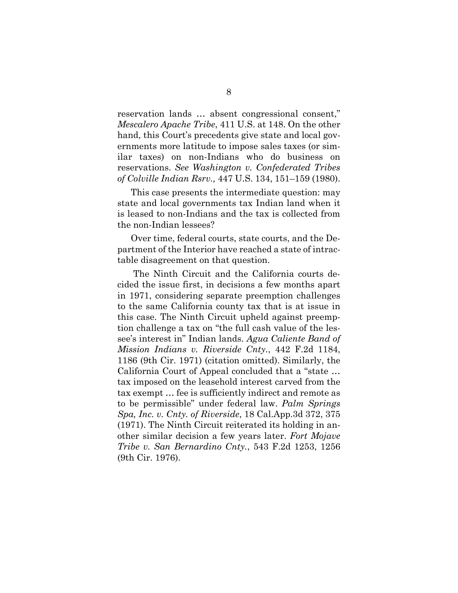reservation lands … absent congressional consent," *Mescalero Apache Tribe*, 411 U.S. at 148. On the other hand, this Court's precedents give state and local governments more latitude to impose sales taxes (or similar taxes) on non-Indians who do business on reservations. *See Washington v. Confederated Tribes of Colville Indian Rsrv.,* 447 U.S. 134, 151–159 (1980).

This case presents the intermediate question: may state and local governments tax Indian land when it is leased to non-Indians and the tax is collected from the non-Indian lessees?

Over time, federal courts, state courts, and the Department of the Interior have reached a state of intractable disagreement on that question.

The Ninth Circuit and the California courts decided the issue first, in decisions a few months apart in 1971, considering separate preemption challenges to the same California county tax that is at issue in this case. The Ninth Circuit upheld against preemption challenge a tax on "the full cash value of the lessee's interest in" Indian lands. *Agua Caliente Band of Mission Indians v. Riverside Cnty.*, 442 F.2d 1184, 1186 (9th Cir. 1971) (citation omitted). Similarly, the California Court of Appeal concluded that a "state … tax imposed on the leasehold interest carved from the tax exempt … fee is sufficiently indirect and remote as to be permissible" under federal law. *Palm Springs Spa, Inc. v. Cnty. of Riverside*, 18 Cal.App.3d 372, 375 (1971). The Ninth Circuit reiterated its holding in another similar decision a few years later. *Fort Mojave Tribe v. San Bernardino Cnty.*, 543 F.2d 1253, 1256 (9th Cir. 1976).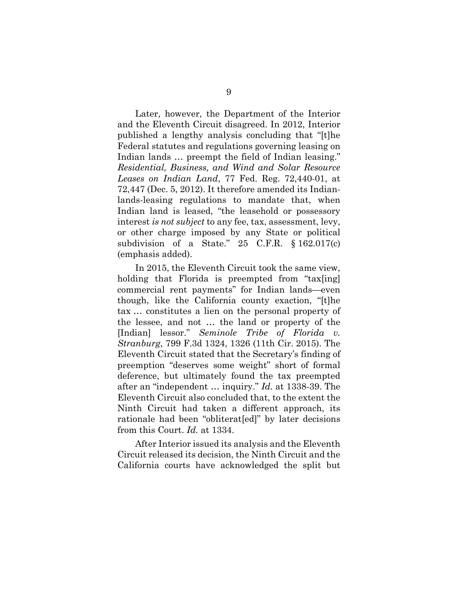Later, however, the Department of the Interior and the Eleventh Circuit disagreed. In 2012, Interior published a lengthy analysis concluding that "[t]he Federal statutes and regulations governing leasing on Indian lands … preempt the field of Indian leasing." *Residential, Business, and Wind and Solar Resource Leases on Indian Land*, 77 Fed. Reg. 72,440-01, at 72,447 (Dec. 5, 2012). It therefore amended its Indianlands-leasing regulations to mandate that, when Indian land is leased, "the leasehold or possessory interest *is not subject* to any fee, tax, assessment, levy, or other charge imposed by any State or political subdivision of a State." 25 C.F.R. § 162.017(c) (emphasis added).

In 2015, the Eleventh Circuit took the same view, holding that Florida is preempted from "tax[ing] commercial rent payments" for Indian lands—even though, like the California county exaction, "[t]he tax … constitutes a lien on the personal property of the lessee, and not … the land or property of the [Indian] lessor." *Seminole Tribe of Florida v. Stranburg*, 799 F.3d 1324, 1326 (11th Cir. 2015). The Eleventh Circuit stated that the Secretary's finding of preemption "deserves some weight" short of formal deference, but ultimately found the tax preempted after an "independent … inquiry." *Id.* at 1338-39. The Eleventh Circuit also concluded that, to the extent the Ninth Circuit had taken a different approach, its rationale had been "obliterat[ed]" by later decisions from this Court. *Id.* at 1334.

After Interior issued its analysis and the Eleventh Circuit released its decision, the Ninth Circuit and the California courts have acknowledged the split but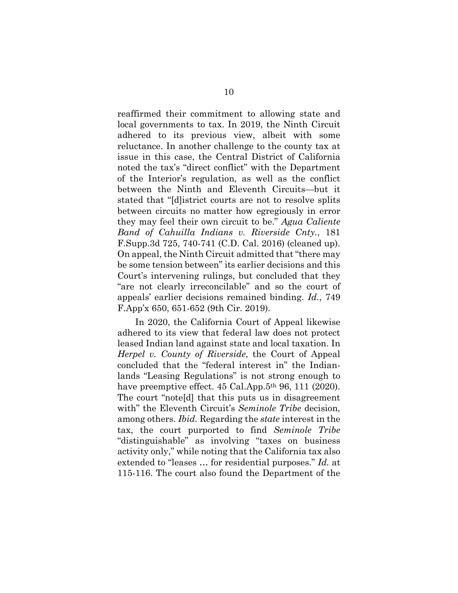reaffirmed their commitment to allowing state and local governments to tax. In 2019, the Ninth Circuit adhered to its previous view, albeit with some reluctance. In another challenge to the county tax at issue in this case, the Central District of California noted the tax's "direct conflict" with the Department of the Interior's regulation, as well as the conflict between the Ninth and Eleventh Circuits—but it stated that "[d]istrict courts are not to resolve splits between circuits no matter how egregiously in error they may feel their own circuit to be." *Agua Caliente Band of Cahuilla Indians v. Riverside Cnty.*, 181 F.Supp.3d 725, 740-741 (C.D. Cal. 2016) (cleaned up). On appeal, the Ninth Circuit admitted that "there may be some tension between" its earlier decisions and this Court's intervening rulings, but concluded that they "are not clearly irreconcilable" and so the court of appeals' earlier decisions remained binding. *Id.*, 749 F.App'x 650, 651-652 (9th Cir. 2019).

In 2020, the California Court of Appeal likewise adhered to its view that federal law does not protect leased Indian land against state and local taxation. In *Herpel v. County of Riverside*, the Court of Appeal concluded that the "federal interest in" the Indianlands "Leasing Regulations" is not strong enough to have preemptive effect. 45 Cal.App.5<sup>th</sup> 96, 111 (2020). The court "note[d] that this puts us in disagreement with" the Eleventh Circuit's *Seminole Tribe* decision, among others. *Ibid.* Regarding the *state* interest in the tax, the court purported to find *Seminole Tribe* "distinguishable" as involving "taxes on business activity only," while noting that the California tax also extended to "leases … for residential purposes." *Id.* at 115-116. The court also found the Department of the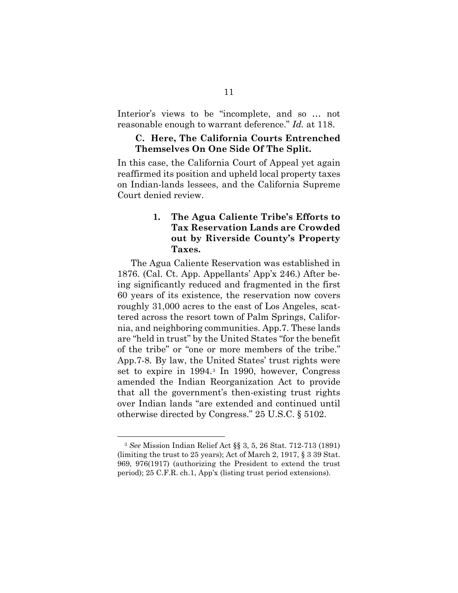Interior's views to be "incomplete, and so … not reasonable enough to warrant deference." *Id.* at 118.

#### **C. Here, The California Courts Entrenched Themselves On One Side Of The Split.**

In this case, the California Court of Appeal yet again reaffirmed its position and upheld local property taxes on Indian-lands lessees, and the California Supreme Court denied review.

## **1. The Agua Caliente Tribe's Efforts to Tax Reservation Lands are Crowded out by Riverside County's Property Taxes.**

The Agua Caliente Reservation was established in 1876. (Cal. Ct. App. Appellants' App'x 246.) After being significantly reduced and fragmented in the first 60 years of its existence, the reservation now covers roughly 31,000 acres to the east of Los Angeles, scattered across the resort town of Palm Springs, California, and neighboring communities. App.7. These lands are "held in trust" by the United States "for the benefit of the tribe" or "one or more members of the tribe." App.7-8*.* By law, the United States' trust rights were set to expire in 1994.[3](#page-22-0) In 1990, however, Congress amended the Indian Reorganization Act to provide that all the government's then-existing trust rights over Indian lands "are extended and continued until otherwise directed by Congress." 25 U.S.C. § 5102.

<span id="page-22-0"></span><sup>3</sup> *See* Mission Indian Relief Act §§ 3, 5, 26 Stat. 712-713 (1891) (limiting the trust to 25 years); Act of March 2, 1917, § 3 39 Stat. 969, 976(1917) (authorizing the President to extend the trust period); 25 C.F.R. ch.1, App'x (listing trust period extensions).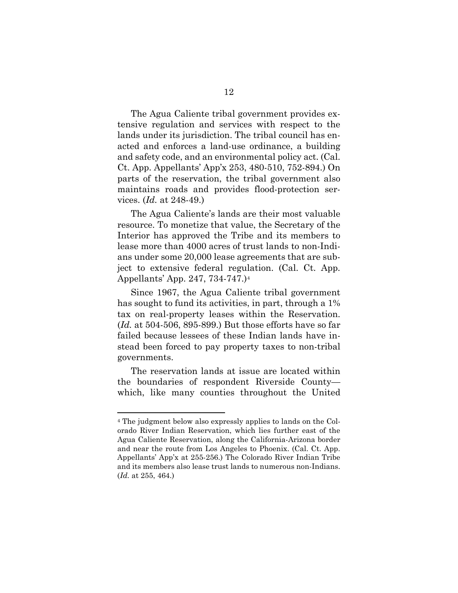The Agua Caliente tribal government provides extensive regulation and services with respect to the lands under its jurisdiction. The tribal council has enacted and enforces a land-use ordinance, a building and safety code, and an environmental policy act. (Cal. Ct. App. Appellants' App'x 253, 480-510, 752-894.) On parts of the reservation, the tribal government also maintains roads and provides flood-protection services. (*Id.* at 248-49.)

The Agua Caliente's lands are their most valuable resource. To monetize that value, the Secretary of the Interior has approved the Tribe and its members to lease more than 4000 acres of trust lands to non-Indians under some 20,000 lease agreements that are subject to extensive federal regulation. (Cal. Ct. App. Appellants' App. 247, 734-747.)[4](#page-23-0)

Since 1967, the Agua Caliente tribal government has sought to fund its activities, in part, through a 1% tax on real-property leases within the Reservation. (*Id.* at 504-506, 895-899.) But those efforts have so far failed because lessees of these Indian lands have instead been forced to pay property taxes to non-tribal governments.

The reservation lands at issue are located within the boundaries of respondent Riverside County which, like many counties throughout the United

<span id="page-23-0"></span><sup>4</sup> The judgment below also expressly applies to lands on the Colorado River Indian Reservation, which lies further east of the Agua Caliente Reservation, along the California-Arizona border and near the route from Los Angeles to Phoenix. (Cal. Ct. App. Appellants' App'x at 255-256.) The Colorado River Indian Tribe and its members also lease trust lands to numerous non-Indians. (*Id.* at 255, 464.)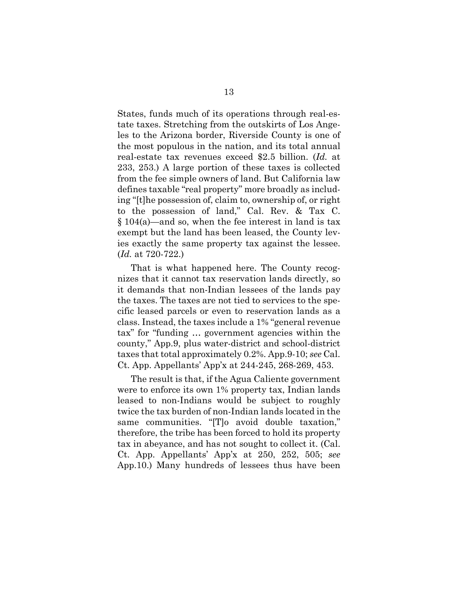States, funds much of its operations through real-estate taxes. Stretching from the outskirts of Los Angeles to the Arizona border, Riverside County is one of the most populous in the nation, and its total annual real-estate tax revenues exceed \$2.5 billion. (*Id.* at 233, 253.) A large portion of these taxes is collected from the fee simple owners of land. But California law defines taxable "real property" more broadly as including "[t]he possession of, claim to, ownership of, or right to the possession of land," Cal. Rev. & Tax C. § 104(a)—and so, when the fee interest in land is tax exempt but the land has been leased, the County levies exactly the same property tax against the lessee. (*Id.* at 720-722.)

That is what happened here. The County recognizes that it cannot tax reservation lands directly, so it demands that non-Indian lessees of the lands pay the taxes. The taxes are not tied to services to the specific leased parcels or even to reservation lands as a class. Instead, the taxes include a 1% "general revenue tax" for "funding … government agencies within the county," App.9, plus water-district and school-district taxes that total approximately 0.2%. App.9-10; *see* Cal. Ct. App. Appellants' App'x at 244-245, 268-269, 453.

The result is that, if the Agua Caliente government were to enforce its own 1% property tax, Indian lands leased to non-Indians would be subject to roughly twice the tax burden of non-Indian lands located in the same communities. "[T]o avoid double taxation," therefore, the tribe has been forced to hold its property tax in abeyance, and has not sought to collect it. (Cal. Ct. App. Appellants' App'x at 250, 252, 505; *see* App.10.) Many hundreds of lessees thus have been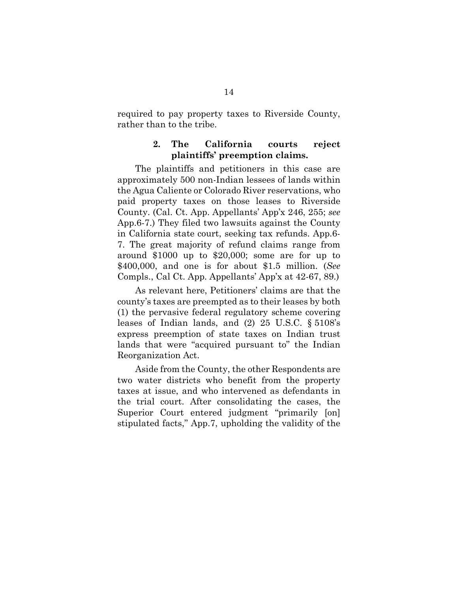required to pay property taxes to Riverside County, rather than to the tribe.

## **2. The California courts reject plaintiffs' preemption claims.**

The plaintiffs and petitioners in this case are approximately 500 non-Indian lessees of lands within the Agua Caliente or Colorado River reservations, who paid property taxes on those leases to Riverside County. (Cal. Ct. App. Appellants' App'x 246, 255; *see*  App.6-7.) They filed two lawsuits against the County in California state court, seeking tax refunds. App.6- 7. The great majority of refund claims range from around \$1000 up to \$20,000; some are for up to \$400,000, and one is for about \$1.5 million. (*See*  Compls., Cal Ct. App. Appellants' App'x at 42-67, 89.)

As relevant here, Petitioners' claims are that the county's taxes are preempted as to their leases by both (1) the pervasive federal regulatory scheme covering leases of Indian lands, and (2) 25 U.S.C. § 5108's express preemption of state taxes on Indian trust lands that were "acquired pursuant to" the Indian Reorganization Act.

Aside from the County, the other Respondents are two water districts who benefit from the property taxes at issue, and who intervened as defendants in the trial court. After consolidating the cases, the Superior Court entered judgment "primarily [on] stipulated facts," App.7, upholding the validity of the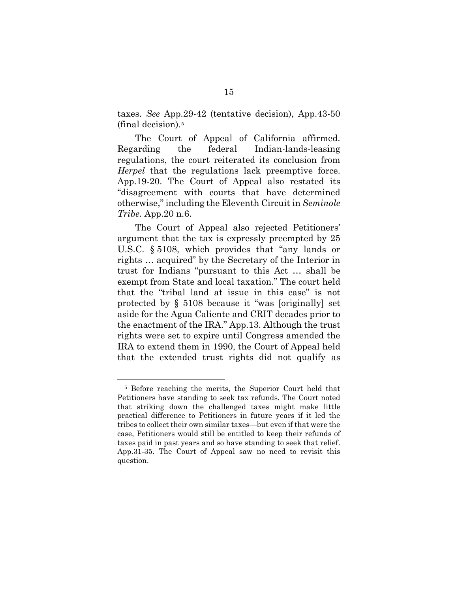taxes. *See* App.29-42 (tentative decision), App.43-50 (final decision).[5](#page-26-0)

The Court of Appeal of California affirmed. Regarding the federal Indian-lands-leasing regulations, the court reiterated its conclusion from *Herpel* that the regulations lack preemptive force. App.19-20. The Court of Appeal also restated its "disagreement with courts that have determined otherwise," including the Eleventh Circuit in *Seminole Tribe.* App.20 n.6.

The Court of Appeal also rejected Petitioners' argument that the tax is expressly preempted by 25 U.S.C. § 5108, which provides that "any lands or rights … acquired" by the Secretary of the Interior in trust for Indians "pursuant to this Act … shall be exempt from State and local taxation." The court held that the "tribal land at issue in this case" is not protected by § 5108 because it "was [originally] set aside for the Agua Caliente and CRIT decades prior to the enactment of the IRA." App.13. Although the trust rights were set to expire until Congress amended the IRA to extend them in 1990, the Court of Appeal held that the extended trust rights did not qualify as

<span id="page-26-0"></span><sup>5</sup> Before reaching the merits, the Superior Court held that Petitioners have standing to seek tax refunds. The Court noted that striking down the challenged taxes might make little practical difference to Petitioners in future years if it led the tribes to collect their own similar taxes—but even if that were the case, Petitioners would still be entitled to keep their refunds of taxes paid in past years and so have standing to seek that relief. App.31-35. The Court of Appeal saw no need to revisit this question.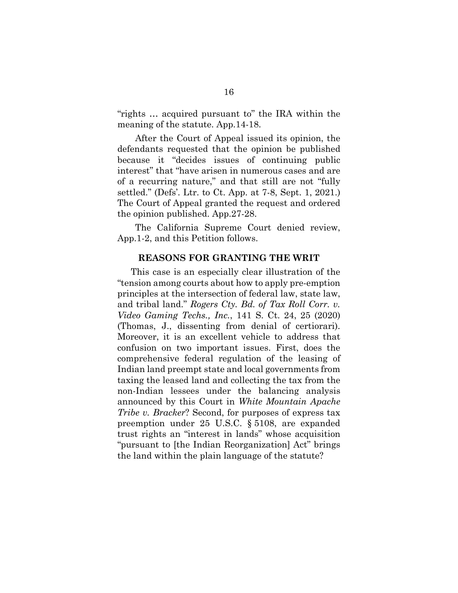"rights … acquired pursuant to" the IRA within the meaning of the statute. App.14-18.

After the Court of Appeal issued its opinion, the defendants requested that the opinion be published because it "decides issues of continuing public interest" that "have arisen in numerous cases and are of a recurring nature," and that still are not "fully settled." (Defs'. Ltr. to Ct. App. at 7-8, Sept. 1, 2021.) The Court of Appeal granted the request and ordered the opinion published. App.27-28.

The California Supreme Court denied review, App.1-2, and this Petition follows.

#### **REASONS FOR GRANTING THE WRIT**

This case is an especially clear illustration of the "tension among courts about how to apply pre-emption principles at the intersection of federal law, state law, and tribal land." *Rogers Cty. Bd. of Tax Roll Corr. v. Video Gaming Techs., Inc.*, 141 S. Ct. 24, 25 (2020) (Thomas, J., dissenting from denial of certiorari). Moreover, it is an excellent vehicle to address that confusion on two important issues. First, does the comprehensive federal regulation of the leasing of Indian land preempt state and local governments from taxing the leased land and collecting the tax from the non-Indian lessees under the balancing analysis announced by this Court in *White Mountain Apache Tribe v. Bracker*? Second, for purposes of express tax preemption under 25 U.S.C. § 5108, are expanded trust rights an "interest in lands" whose acquisition "pursuant to [the Indian Reorganization] Act" brings the land within the plain language of the statute?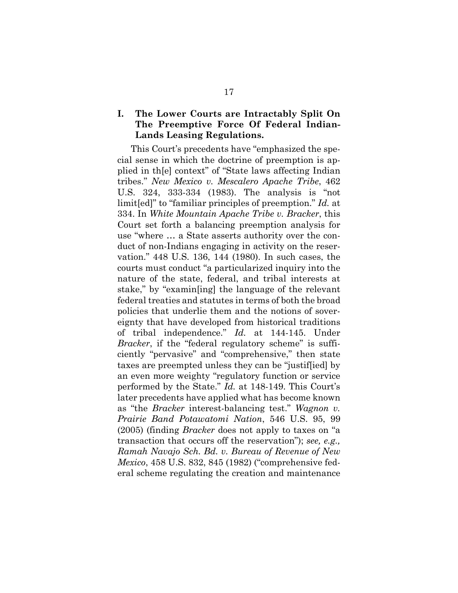## **I. The Lower Courts are Intractably Split On The Preemptive Force Of Federal Indian-Lands Leasing Regulations.**

This Court's precedents have "emphasized the special sense in which the doctrine of preemption is applied in th[e] context" of "State laws affecting Indian tribes." *New Mexico v. Mescalero Apache Tribe*, 462 U.S. 324, 333-334 (1983). The analysis is "not limit[ed]" to "familiar principles of preemption." *Id.* at 334. In *White Mountain Apache Tribe v. Bracker*, this Court set forth a balancing preemption analysis for use "where … a State asserts authority over the conduct of non-Indians engaging in activity on the reservation." 448 U.S. 136, 144 (1980). In such cases, the courts must conduct "a particularized inquiry into the nature of the state, federal, and tribal interests at stake," by "examin[ing] the language of the relevant federal treaties and statutes in terms of both the broad policies that underlie them and the notions of sovereignty that have developed from historical traditions of tribal independence." *Id.* at 144-145. Under *Bracker*, if the "federal regulatory scheme" is sufficiently "pervasive" and "comprehensive," then state taxes are preempted unless they can be "justif[ied] by an even more weighty "regulatory function or service performed by the State." *Id.* at 148-149. This Court's later precedents have applied what has become known as "the *Bracker* interest-balancing test." *Wagnon v. Prairie Band Potawatomi Nation*, 546 U.S. 95, 99 (2005) (finding *Bracker* does not apply to taxes on "a transaction that occurs off the reservation"); *see, e.g., Ramah Navajo Sch. Bd. v. Bureau of Revenue of New Mexico*, 458 U.S. 832, 845 (1982) ("comprehensive federal scheme regulating the creation and maintenance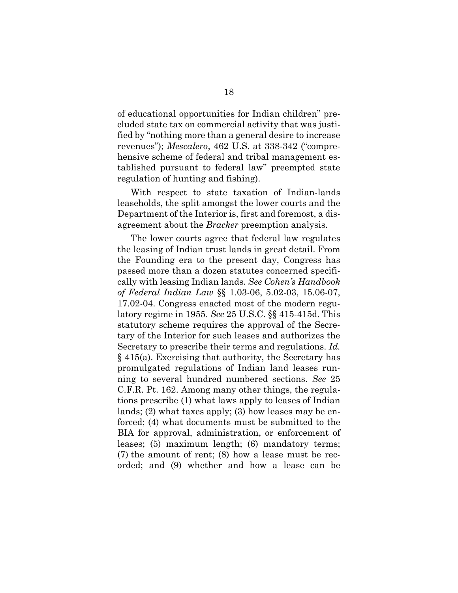of educational opportunities for Indian children" precluded state tax on commercial activity that was justified by "nothing more than a general desire to increase revenues"); *Mescalero*, 462 U.S. at 338-342 ("comprehensive scheme of federal and tribal management established pursuant to federal law" preempted state regulation of hunting and fishing).

With respect to state taxation of Indian-lands leaseholds, the split amongst the lower courts and the Department of the Interior is, first and foremost, a disagreement about the *Bracker* preemption analysis.

The lower courts agree that federal law regulates the leasing of Indian trust lands in great detail. From the Founding era to the present day, Congress has passed more than a dozen statutes concerned specifically with leasing Indian lands. *See Cohen's Handbook of Federal Indian Law* §§ 1.03-06, 5.02-03, 15.06-07, 17.02-04. Congress enacted most of the modern regulatory regime in 1955. *See* 25 U.S.C. §§ 415-415d. This statutory scheme requires the approval of the Secretary of the Interior for such leases and authorizes the Secretary to prescribe their terms and regulations. *Id.*  § 415(a). Exercising that authority, the Secretary has promulgated regulations of Indian land leases running to several hundred numbered sections. *See* 25 C.F.R. Pt. 162. Among many other things, the regulations prescribe (1) what laws apply to leases of Indian lands; (2) what taxes apply; (3) how leases may be enforced; (4) what documents must be submitted to the BIA for approval, administration, or enforcement of leases; (5) maximum length; (6) mandatory terms; (7) the amount of rent; (8) how a lease must be recorded; and (9) whether and how a lease can be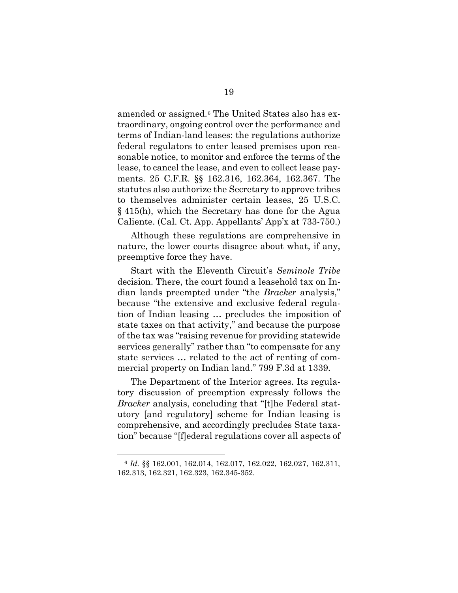amended or assigned.[6](#page-30-0) The United States also has extraordinary, ongoing control over the performance and terms of Indian-land leases: the regulations authorize federal regulators to enter leased premises upon reasonable notice, to monitor and enforce the terms of the lease, to cancel the lease, and even to collect lease payments. 25 C.F.R. §§ 162.316, 162.364, 162.367. The statutes also authorize the Secretary to approve tribes to themselves administer certain leases, 25 U.S.C. § 415(h), which the Secretary has done for the Agua Caliente. (Cal. Ct. App. Appellants' App'x at 733-750.)

Although these regulations are comprehensive in nature, the lower courts disagree about what, if any, preemptive force they have.

Start with the Eleventh Circuit's *Seminole Tribe*  decision. There, the court found a leasehold tax on Indian lands preempted under "the *Bracker* analysis," because "the extensive and exclusive federal regulation of Indian leasing … precludes the imposition of state taxes on that activity," and because the purpose of the tax was "raising revenue for providing statewide services generally" rather than "to compensate for any state services … related to the act of renting of commercial property on Indian land." 799 F.3d at 1339.

The Department of the Interior agrees. Its regulatory discussion of preemption expressly follows the *Bracker* analysis, concluding that "[t]he Federal statutory [and regulatory] scheme for Indian leasing is comprehensive, and accordingly precludes State taxation" because "[f]ederal regulations cover all aspects of

<span id="page-30-0"></span><sup>6</sup> *Id.* §§ 162.001, 162.014, 162.017, 162.022, 162.027, 162.311, 162.313, 162.321, 162.323, 162.345-352.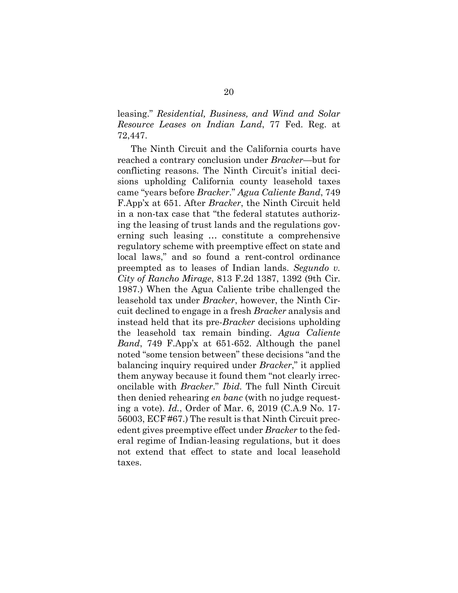leasing." *Residential, Business, and Wind and Solar Resource Leases on Indian Land*, 77 Fed. Reg. at 72,447.

The Ninth Circuit and the California courts have reached a contrary conclusion under *Bracker*—but for conflicting reasons. The Ninth Circuit's initial decisions upholding California county leasehold taxes came "years before *Bracker*." *Agua Caliente Band*, 749 F.App'x at 651. After *Bracker*, the Ninth Circuit held in a non-tax case that "the federal statutes authorizing the leasing of trust lands and the regulations governing such leasing … constitute a comprehensive regulatory scheme with preemptive effect on state and local laws," and so found a rent-control ordinance preempted as to leases of Indian lands. *Segundo v. City of Rancho Mirage*, 813 F.2d 1387, 1392 (9th Cir. 1987.) When the Agua Caliente tribe challenged the leasehold tax under *Bracker*, however, the Ninth Circuit declined to engage in a fresh *Bracker* analysis and instead held that its pre-*Bracker* decisions upholding the leasehold tax remain binding. *Agua Caliente Band*, 749 F.App'x at 651-652. Although the panel noted "some tension between" these decisions "and the balancing inquiry required under *Bracker*," it applied them anyway because it found them "not clearly irreconcilable with *Bracker*." *Ibid.* The full Ninth Circuit then denied rehearing *en banc* (with no judge requesting a vote). *Id.*, Order of Mar. 6, 2019 (C.A.9 No. 17- 56003, ECF #67.) The result is that Ninth Circuit precedent gives preemptive effect under *Bracker* to the federal regime of Indian-leasing regulations, but it does not extend that effect to state and local leasehold taxes.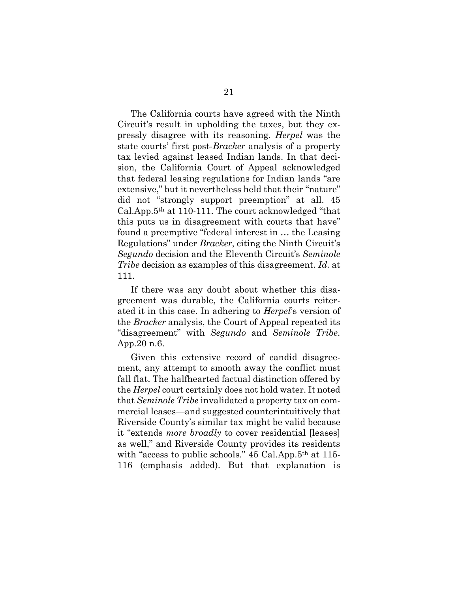The California courts have agreed with the Ninth Circuit's result in upholding the taxes, but they expressly disagree with its reasoning. *Herpel* was the state courts' first post-*Bracker* analysis of a property tax levied against leased Indian lands. In that decision, the California Court of Appeal acknowledged that federal leasing regulations for Indian lands "are extensive," but it nevertheless held that their "nature" did not "strongly support preemption" at all. 45 Cal.App.5th at 110-111. The court acknowledged "that this puts us in disagreement with courts that have" found a preemptive "federal interest in … the Leasing Regulations" under *Bracker*, citing the Ninth Circuit's *Segundo* decision and the Eleventh Circuit's *Seminole Tribe* decision as examples of this disagreement. *Id.* at 111.

If there was any doubt about whether this disagreement was durable, the California courts reiterated it in this case. In adhering to *Herpel*'s version of the *Bracker* analysis, the Court of Appeal repeated its "disagreement" with *Segundo* and *Seminole Tribe*. App.20 n.6.

Given this extensive record of candid disagreement, any attempt to smooth away the conflict must fall flat. The halfhearted factual distinction offered by the *Herpel* court certainly does not hold water. It noted that *Seminole Tribe* invalidated a property tax on commercial leases—and suggested counterintuitively that Riverside County's similar tax might be valid because it "extends *more broadly* to cover residential [leases] as well," and Riverside County provides its residents with "access to public schools." 45 Cal.App.5<sup>th</sup> at 115-116 (emphasis added). But that explanation is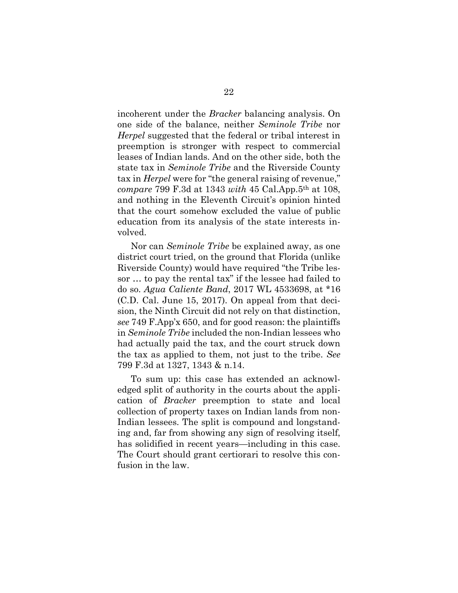incoherent under the *Bracker* balancing analysis. On one side of the balance, neither *Seminole Tribe* nor *Herpel* suggested that the federal or tribal interest in preemption is stronger with respect to commercial leases of Indian lands. And on the other side, both the state tax in *Seminole Tribe* and the Riverside County tax in *Herpel* were for "the general raising of revenue," *compare* 799 F.3d at 1343 *with* 45 Cal.App.5th at 108, and nothing in the Eleventh Circuit's opinion hinted that the court somehow excluded the value of public education from its analysis of the state interests involved.

Nor can *Seminole Tribe* be explained away, as one district court tried, on the ground that Florida (unlike Riverside County) would have required "the Tribe lessor … to pay the rental tax" if the lessee had failed to do so. *Agua Caliente Band*, 2017 WL 4533698, at \*16 (C.D. Cal. June 15, 2017). On appeal from that decision, the Ninth Circuit did not rely on that distinction, *see* 749 F.App'x 650, and for good reason: the plaintiffs in *Seminole Tribe* included the non-Indian lessees who had actually paid the tax, and the court struck down the tax as applied to them, not just to the tribe. *See*  799 F.3d at 1327, 1343 & n.14.

To sum up: this case has extended an acknowledged split of authority in the courts about the application of *Bracker* preemption to state and local collection of property taxes on Indian lands from non-Indian lessees. The split is compound and longstanding and, far from showing any sign of resolving itself, has solidified in recent years—including in this case. The Court should grant certiorari to resolve this confusion in the law.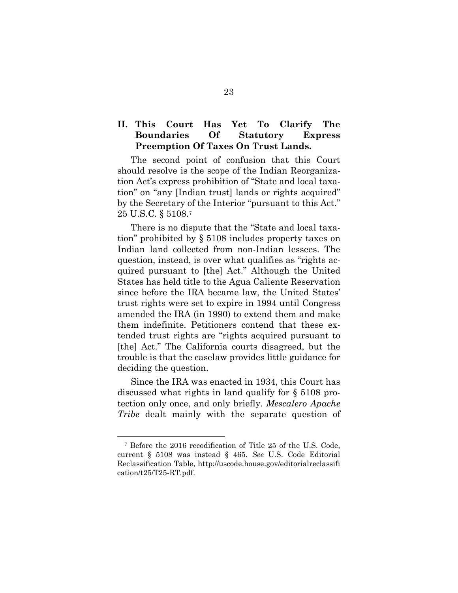## **II. This Court Has Yet To Clarify The Boundaries Of Statutory Express Preemption Of Taxes On Trust Lands.**

The second point of confusion that this Court should resolve is the scope of the Indian Reorganization Act's express prohibition of "State and local taxation" on "any [Indian trust] lands or rights acquired" by the Secretary of the Interior "pursuant to this Act." 25 U.S.C. § 5108.[7](#page-34-0)

There is no dispute that the "State and local taxation" prohibited by § 5108 includes property taxes on Indian land collected from non-Indian lessees. The question, instead, is over what qualifies as "rights acquired pursuant to [the] Act." Although the United States has held title to the Agua Caliente Reservation since before the IRA became law, the United States' trust rights were set to expire in 1994 until Congress amended the IRA (in 1990) to extend them and make them indefinite. Petitioners contend that these extended trust rights are "rights acquired pursuant to [the] Act." The California courts disagreed, but the trouble is that the caselaw provides little guidance for deciding the question.

Since the IRA was enacted in 1934, this Court has discussed what rights in land qualify for § 5108 protection only once, and only briefly. *Mescalero Apache Tribe* dealt mainly with the separate question of

<span id="page-34-0"></span><sup>7</sup> Before the 2016 recodification of Title 25 of the U.S. Code, current § 5108 was instead § 465. *See* U.S. Code Editorial Reclassification Table, <http://uscode.house.gov/editorialreclassifi> [cation/t25/T25-RT.pdf.](http://uscode.house.gov/editorialreclassification/t25/T25-RT.pdf)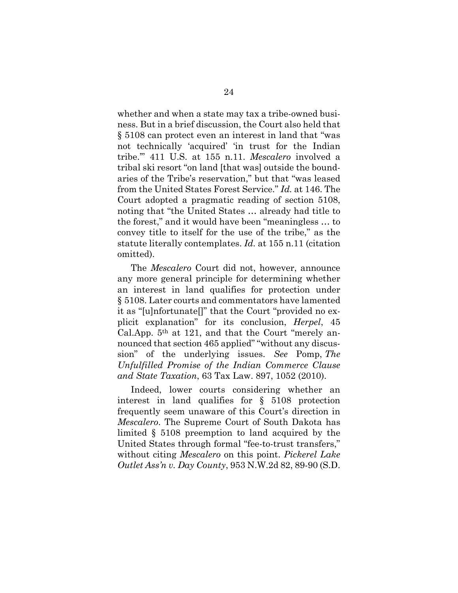whether and when a state may tax a tribe-owned business. But in a brief discussion, the Court also held that § 5108 can protect even an interest in land that "was not technically 'acquired' 'in trust for the Indian tribe.'" 411 U.S. at 155 n.11. *Mescalero* involved a tribal ski resort "on land [that was] outside the boundaries of the Tribe's reservation," but that "was leased from the United States Forest Service." *Id.* at 146. The Court adopted a pragmatic reading of section 5108, noting that "the United States … already had title to the forest," and it would have been "meaningless … to convey title to itself for the use of the tribe," as the statute literally contemplates. *Id.* at 155 n.11 (citation omitted).

The *Mescalero* Court did not, however, announce any more general principle for determining whether an interest in land qualifies for protection under § 5108. Later courts and commentators have lamented it as "[u]nfortunate[]" that the Court "provided no explicit explanation" for its conclusion, *Herpel*, 45 Cal.App.  $5<sup>th</sup>$  at 121, and that the Court "merely announced that section 465 applied" "without any discussion" of the underlying issues. *See* Pomp, *The Unfulfilled Promise of the Indian Commerce Clause and State Taxation*, 63 Tax Law. 897, 1052 (2010).

Indeed, lower courts considering whether an interest in land qualifies for § 5108 protection frequently seem unaware of this Court's direction in *Mescalero*. The Supreme Court of South Dakota has limited § 5108 preemption to land acquired by the United States through formal "fee-to-trust transfers," without citing *Mescalero* on this point. *Pickerel Lake Outlet Ass'n v. Day County*, 953 N.W.2d 82, 89-90 (S.D.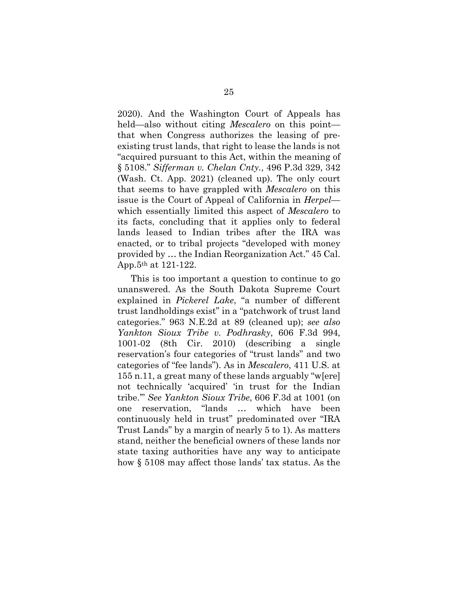2020). And the Washington Court of Appeals has held—also without citing *Mescalero* on this point that when Congress authorizes the leasing of preexisting trust lands, that right to lease the lands is not "acquired pursuant to this Act, within the meaning of § 5108." *Sifferman v. Chelan Cnty.*, 496 P.3d 329, 342 (Wash. Ct. App. 2021) (cleaned up). The only court that seems to have grappled with *Mescalero* on this issue is the Court of Appeal of California in *Herpel* which essentially limited this aspect of *Mescalero* to its facts, concluding that it applies only to federal lands leased to Indian tribes after the IRA was enacted, or to tribal projects "developed with money provided by … the Indian Reorganization Act." 45 Cal. App.5th at 121-122.

This is too important a question to continue to go unanswered. As the South Dakota Supreme Court explained in *Pickerel Lake*, "a number of different trust landholdings exist" in a "patchwork of trust land categories." 963 N.E.2d at 89 (cleaned up); *see also Yankton Sioux Tribe v. Podhrasky*, 606 F.3d 994, 1001-02 (8th Cir. 2010) (describing a single reservation's four categories of "trust lands" and two categories of "fee lands"). As in *Mescalero*, 411 U.S. at 155 n.11, a great many of these lands arguably "w[ere] not technically 'acquired' 'in trust for the Indian tribe.'" *See Yankton Sioux Tribe*, 606 F.3d at 1001 (on one reservation, "lands … which have been continuously held in trust" predominated over "IRA Trust Lands" by a margin of nearly 5 to 1). As matters stand, neither the beneficial owners of these lands nor state taxing authorities have any way to anticipate how § 5108 may affect those lands' tax status. As the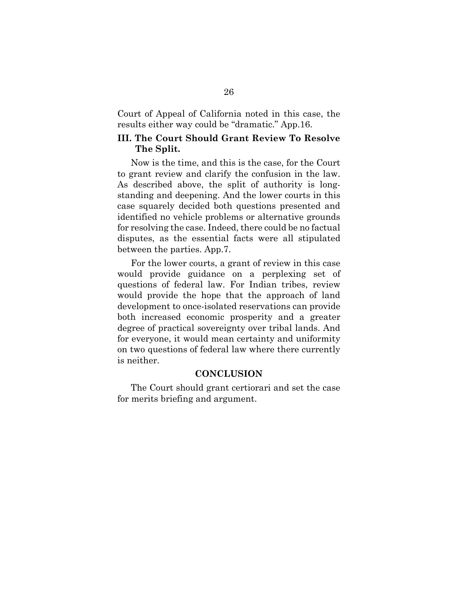Court of Appeal of California noted in this case, the results either way could be "dramatic." App.16.

#### **III. The Court Should Grant Review To Resolve The Split.**

Now is the time, and this is the case, for the Court to grant review and clarify the confusion in the law. As described above, the split of authority is longstanding and deepening. And the lower courts in this case squarely decided both questions presented and identified no vehicle problems or alternative grounds for resolving the case. Indeed, there could be no factual disputes, as the essential facts were all stipulated between the parties. App.7.

For the lower courts, a grant of review in this case would provide guidance on a perplexing set of questions of federal law. For Indian tribes, review would provide the hope that the approach of land development to once-isolated reservations can provide both increased economic prosperity and a greater degree of practical sovereignty over tribal lands. And for everyone, it would mean certainty and uniformity on two questions of federal law where there currently is neither.

#### **CONCLUSION**

The Court should grant certiorari and set the case for merits briefing and argument.